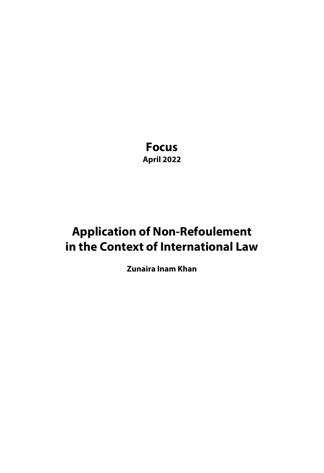**Focus April 2022**

# **Application of Non-Refoulement in the Context of International Law**

**Zunaira Inam Khan**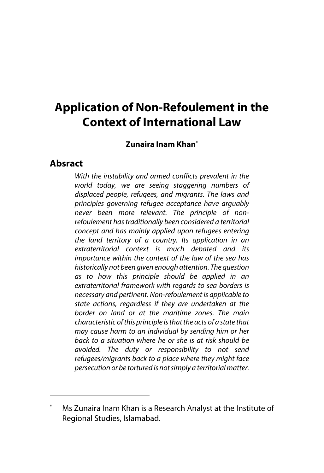# **Application of Non-Refoulement in the Context of International Law**

#### **Zunaira Inam Khan\***

#### **Absract**

*With the instability and armed conflicts prevalent in the world today, we are seeing staggering numbers of displaced people, refugees, and migrants. The laws and principles governing refugee acceptance have arguably never been more relevant. The principle of nonrefoulement has traditionally been considered a territorial concept and has mainly applied upon refugees entering the land territory of a country. Its application in an extraterritorial context is much debated and its importance within the context of the law of the sea has historically not been given enough attention. The question as to how this principle should be applied in an extraterritorial framework with regards to sea borders is necessary and pertinent. Non-refoulement is applicable to state actions, regardless if they are undertaken at the border on land or at the maritime zones. The main characteristic of this principle is that the acts of a state that may cause harm to an individual by sending him or her back to a situation where he or she is at risk should be avoided. The duty or responsibility to not send refugees/migrants back to a place where they might face persecution or be tortured is not simply a territorial matter.* 

Ms Zunaira Inam Khan is a Research Analyst at the Institute of Regional Studies, Islamabad.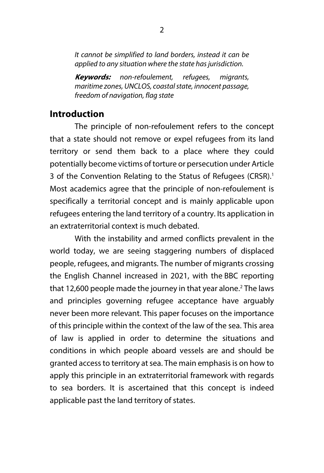*It cannot be simplified to land borders, instead it can be applied to any situation where the state has jurisdiction.*

**Keywords:** *non-refoulement, refugees, migrants, maritime zones, UNCLOS, coastal state, innocent passage, freedom of navigation, flag state*

### **Introduction**

The principle of non-refoulement refers to the concept that a state should not remove or expel refugees from its land territory or send them back to a place where they could potentially become victims of torture or persecution under Article 3 of the Convention Relating to the Status of Refugees (CRSR).<sup>1</sup> Most academics agree that the principle of non-refoulement is specifically a territorial concept and is mainly applicable upon refugees entering the land territory of a country. Its application in an extraterritorial context is much debated.

With the instability and armed conflicts prevalent in the world today, we are seeing staggering numbers of displaced people, refugees, and migrants. The number of migrants crossing the English Channel increased in 2021, with the BBC reporting that 12,600 people made the journey in that year alone.<sup>2</sup> The laws and principles governing refugee acceptance have arguably never been more relevant. This paper focuses on the importance of this principle within the context of the law of the sea. This area of law is applied in order to determine the situations and conditions in which people aboard vessels are and should be granted access to territory at sea. The main emphasis is on how to apply this principle in an extraterritorial framework with regards to sea borders. It is ascertained that this concept is indeed applicable past the land territory of states.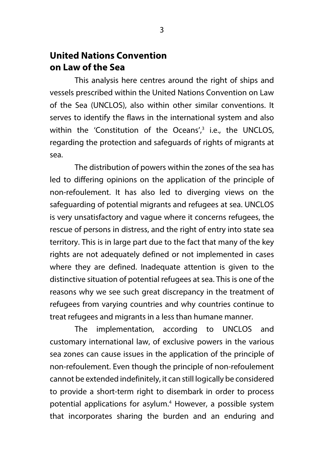# **United Nations Convention on Law of the Sea**

This analysis here centres around the right of ships and vessels prescribed within the United Nations Convention on Law of the Sea (UNCLOS), also within other similar conventions. It serves to identify the flaws in the international system and also within the 'Constitution of the Oceans', $3$  i.e., the UNCLOS, regarding the protection and safeguards of rights of migrants at sea.

The distribution of powers within the zones of the sea has led to differing opinions on the application of the principle of non-refoulement. It has also led to diverging views on the safeguarding of potential migrants and refugees at sea. UNCLOS is very unsatisfactory and vague where it concerns refugees, the rescue of persons in distress, and the right of entry into state sea territory. This is in large part due to the fact that many of the key rights are not adequately defined or not implemented in cases where they are defined. Inadequate attention is given to the distinctive situation of potential refugees at sea. This is one of the reasons why we see such great discrepancy in the treatment of refugees from varying countries and why countries continue to treat refugees and migrants in a less than humane manner.

The implementation, according to UNCLOS and customary international law, of exclusive powers in the various sea zones can cause issues in the application of the principle of non-refoulement. Even though the principle of non-refoulement cannot be extended indefinitely, it can still logically be considered to provide a short-term right to disembark in order to process potential applications for asylum.<sup>4</sup> However, a possible system that incorporates sharing the burden and an enduring and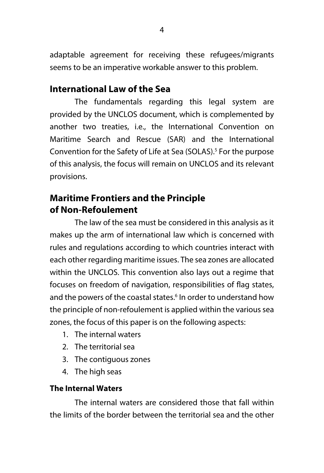adaptable agreement for receiving these refugees/migrants seems to be an imperative workable answer to this problem.

# **International Law of the Sea**

The fundamentals regarding this legal system are provided by the UNCLOS document, which is complemented by another two treaties, i.e., the International Convention on Maritime Search and Rescue (SAR) and the International Convention for the Safety of Life at Sea (SOLAS).<sup>5</sup> For the purpose of this analysis, the focus will remain on UNCLOS and its relevant provisions.

# **Maritime Frontiers and the Principle of Non-Refoulement**

The law of the sea must be considered in this analysis as it makes up the arm of international law which is concerned with rules and regulations according to which countries interact with each other regarding maritime issues. The sea zones are allocated within the UNCLOS. This convention also lays out a regime that focuses on freedom of navigation, responsibilities of flag states, and the powers of the coastal states.<sup>6</sup> In order to understand how the principle of non-refoulement is applied within the various sea zones, the focus of this paper is on the following aspects:

- 1. The internal waters
- 2. The territorial sea
- 3. The contiguous zones
- 4. The high seas

## **The Internal Waters**

The internal waters are considered those that fall within the limits of the border between the territorial sea and the other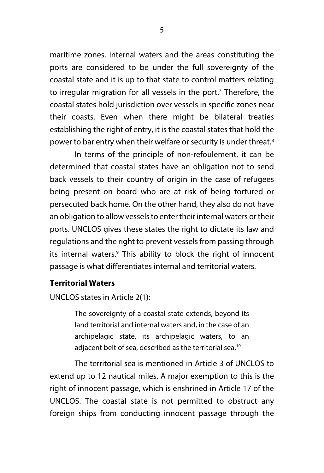maritime zones. Internal waters and the areas constituting the ports are considered to be under the full sovereignty of the coastal state and it is up to that state to control matters relating to irregular migration for all vessels in the port.<sup>7</sup> Therefore, the coastal states hold jurisdiction over vessels in specific zones near their coasts. Even when there might be bilateral treaties establishing the right of entry, it is the coastal states that hold the power to bar entry when their welfare or security is under threat.<sup>8</sup>

In terms of the principle of non-refoulement, it can be determined that coastal states have an obligation not to send back vessels to their country of origin in the case of refugees being present on board who are at risk of being tortured or persecuted back home. On the other hand, they also do not have an obligation to allow vessels to enter their internal waters or their ports. UNCLOS gives these states the right to dictate its law and regulations and the right to prevent vessels from passing through its internal waters.<sup>9</sup> This ability to block the right of innocent passage is what differentiates internal and territorial waters.

#### **Territorial Waters**

UNCLOS states in Article 2(1):

The sovereignty of a coastal state extends, beyond its land territorial and internal waters and, in the case of an archipelagic state, its archipelagic waters, to an adjacent belt of sea, described as the territorial sea.10

The territorial sea is mentioned in Article 3 of UNCLOS to extend up to 12 nautical miles. A major exemption to this is the right of innocent passage, which is enshrined in Article 17 of the UNCLOS. The coastal state is not permitted to obstruct any foreign ships from conducting innocent passage through the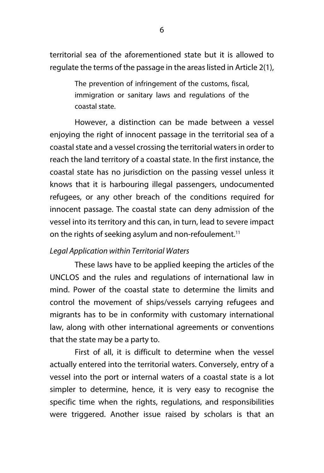territorial sea of the aforementioned state but it is allowed to regulate the terms of the passage in the areas listed in Article 2(1),

> The prevention of infringement of the customs, fiscal, immigration or sanitary laws and regulations of the coastal state.

However, a distinction can be made between a vessel enjoying the right of innocent passage in the territorial sea of a coastal state and a vessel crossing the territorial waters in order to reach the land territory of a coastal state. In the first instance, the coastal state has no jurisdiction on the passing vessel unless it knows that it is harbouring illegal passengers, undocumented refugees, or any other breach of the conditions required for innocent passage. The coastal state can deny admission of the vessel into its territory and this can, in turn, lead to severe impact on the rights of seeking asylum and non-refoulement.<sup>11</sup>

#### *Legal Application within Territorial Waters*

These laws have to be applied keeping the articles of the UNCLOS and the rules and regulations of international law in mind. Power of the coastal state to determine the limits and control the movement of ships/vessels carrying refugees and migrants has to be in conformity with customary international law, along with other international agreements or conventions that the state may be a party to.

First of all, it is difficult to determine when the vessel actually entered into the territorial waters. Conversely, entry of a vessel into the port or internal waters of a coastal state is a lot simpler to determine, hence, it is very easy to recognise the specific time when the rights, regulations, and responsibilities were triggered. Another issue raised by scholars is that an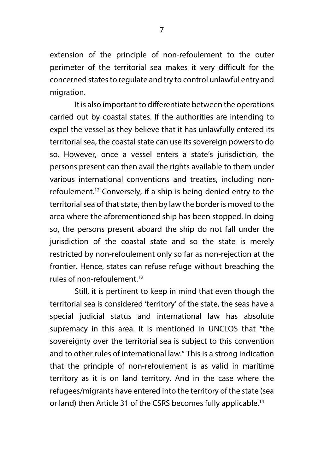extension of the principle of non-refoulement to the outer perimeter of the territorial sea makes it very difficult for the concerned states to regulate and try to control unlawful entry and migration.

It is also important to differentiate between the operations carried out by coastal states. If the authorities are intending to expel the vessel as they believe that it has unlawfully entered its territorial sea, the coastal state can use its sovereign powers to do so. However, once a vessel enters a state's jurisdiction, the persons present can then avail the rights available to them under various international conventions and treaties, including nonrefoulement.12 Conversely, if a ship is being denied entry to the territorial sea of that state, then by law the border is moved to the area where the aforementioned ship has been stopped. In doing so, the persons present aboard the ship do not fall under the jurisdiction of the coastal state and so the state is merely restricted by non-refoulement only so far as non-rejection at the frontier. Hence, states can refuse refuge without breaching the rules of non-refoulement $13$ 

Still, it is pertinent to keep in mind that even though the territorial sea is considered 'territory' of the state, the seas have a special judicial status and international law has absolute supremacy in this area. It is mentioned in UNCLOS that "the sovereignty over the territorial sea is subject to this convention and to other rules of international law." This is a strong indication that the principle of non-refoulement is as valid in maritime territory as it is on land territory. And in the case where the refugees/migrants have entered into the territory of the state (sea or land) then Article 31 of the CSRS becomes fully applicable.<sup>14</sup>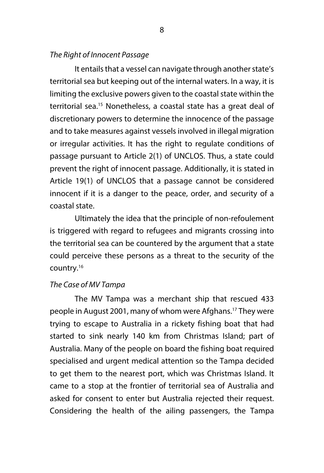#### *The Right of Innocent Passage*

It entails that a vessel can navigate through another state's territorial sea but keeping out of the internal waters. In a way, it is limiting the exclusive powers given to the coastal state within the territorial sea.15 Nonetheless, a coastal state has a great deal of discretionary powers to determine the innocence of the passage and to take measures against vessels involved in illegal migration or irregular activities. It has the right to regulate conditions of passage pursuant to Article 2(1) of UNCLOS. Thus, a state could prevent the right of innocent passage. Additionally, it is stated in Article 19(1) of UNCLOS that a passage cannot be considered innocent if it is a danger to the peace, order, and security of a coastal state.

Ultimately the idea that the principle of non-refoulement is triggered with regard to refugees and migrants crossing into the territorial sea can be countered by the argument that a state could perceive these persons as a threat to the security of the country.16

#### *The Case of MV Tampa*

The MV Tampa was a merchant ship that rescued 433 people in August 2001, many of whom were Afghans.17 They were trying to escape to Australia in a rickety fishing boat that had started to sink nearly 140 km from Christmas Island; part of Australia. Many of the people on board the fishing boat required specialised and urgent medical attention so the Tampa decided to get them to the nearest port, which was Christmas Island. It came to a stop at the frontier of territorial sea of Australia and asked for consent to enter but Australia rejected their request. Considering the health of the ailing passengers, the Tampa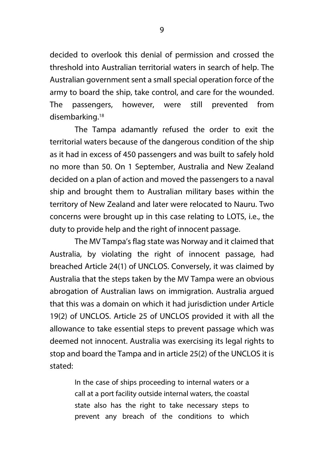decided to overlook this denial of permission and crossed the threshold into Australian territorial waters in search of help. The Australian government sent a small special operation force of the army to board the ship, take control, and care for the wounded. The passengers, however, were still prevented from disembarking.<sup>18</sup>

The Tampa adamantly refused the order to exit the territorial waters because of the dangerous condition of the ship as it had in excess of 450 passengers and was built to safely hold no more than 50. On 1 September, Australia and New Zealand decided on a plan of action and moved the passengers to a naval ship and brought them to Australian military bases within the territory of New Zealand and later were relocated to Nauru. Two concerns were brought up in this case relating to LOTS, i.e., the duty to provide help and the right of innocent passage.

The MV Tampa's flag state was Norway and it claimed that Australia, by violating the right of innocent passage, had breached Article 24(1) of UNCLOS. Conversely, it was claimed by Australia that the steps taken by the MV Tampa were an obvious abrogation of Australian laws on immigration. Australia argued that this was a domain on which it had jurisdiction under Article 19(2) of UNCLOS. Article 25 of UNCLOS provided it with all the allowance to take essential steps to prevent passage which was deemed not innocent. Australia was exercising its legal rights to stop and board the Tampa and in article 25(2) of the UNCLOS it is stated:

> In the case of ships proceeding to internal waters or a call at a port facility outside internal waters, the coastal state also has the right to take necessary steps to prevent any breach of the conditions to which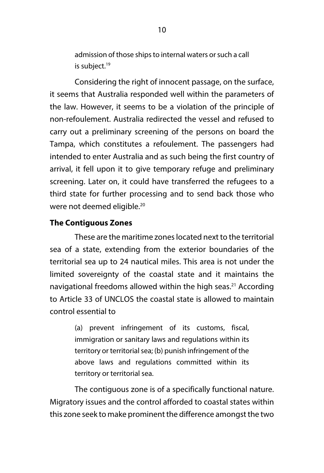admission of those ships to internal waters or such a call is subject.<sup>19</sup>

Considering the right of innocent passage, on the surface, it seems that Australia responded well within the parameters of the law. However, it seems to be a violation of the principle of non-refoulement. Australia redirected the vessel and refused to carry out a preliminary screening of the persons on board the Tampa, which constitutes a refoulement. The passengers had intended to enter Australia and as such being the first country of arrival, it fell upon it to give temporary refuge and preliminary screening. Later on, it could have transferred the refugees to a third state for further processing and to send back those who were not deemed eligible.<sup>20</sup>

#### **The Contiguous Zones**

These are the maritime zones located next to the territorial sea of a state, extending from the exterior boundaries of the territorial sea up to 24 nautical miles. This area is not under the limited sovereignty of the coastal state and it maintains the navigational freedoms allowed within the high seas.<sup>21</sup> According to Article 33 of UNCLOS the coastal state is allowed to maintain control essential to

> (a) prevent infringement of its customs, fiscal, immigration or sanitary laws and regulations within its territory or territorial sea; (b) punish infringement of the above laws and regulations committed within its territory or territorial sea.

The contiguous zone is of a specifically functional nature. Migratory issues and the control afforded to coastal states within this zone seek to make prominent the difference amongst the two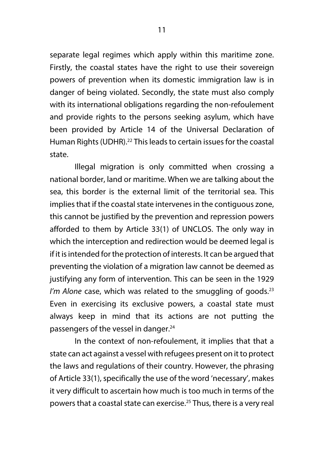separate legal regimes which apply within this maritime zone. Firstly, the coastal states have the right to use their sovereign powers of prevention when its domestic immigration law is in danger of being violated. Secondly, the state must also comply with its international obligations regarding the non-refoulement and provide rights to the persons seeking asylum, which have been provided by Article 14 of the Universal Declaration of Human Rights (UDHR).<sup>22</sup> This leads to certain issues for the coastal state.

Illegal migration is only committed when crossing a national border, land or maritime. When we are talking about the sea, this border is the external limit of the territorial sea. This implies that if the coastal state intervenes in the contiguous zone, this cannot be justified by the prevention and repression powers afforded to them by Article 33(1) of UNCLOS. The only way in which the interception and redirection would be deemed legal is if it is intended for the protection of interests. It can be argued that preventing the violation of a migration law cannot be deemed as justifying any form of intervention. This can be seen in the 1929 I'm Alone case, which was related to the smuggling of goods.<sup>23</sup> Even in exercising its exclusive powers, a coastal state must always keep in mind that its actions are not putting the passengers of the vessel in danger.<sup>24</sup>

In the context of non-refoulement, it implies that that a state can act against a vessel with refugees present on it to protect the laws and regulations of their country. However, the phrasing of Article 33(1), specifically the use of the word 'necessary', makes it very difficult to ascertain how much is too much in terms of the powers that a coastal state can exercise.25 Thus, there is a very real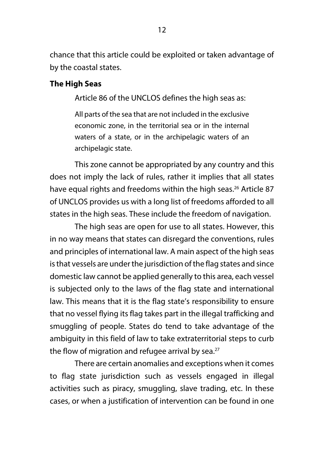chance that this article could be exploited or taken advantage of by the coastal states.

#### **The High Seas**

Article 86 of the UNCLOS defines the high seas as:

All parts of the sea that are not included in the exclusive economic zone, in the territorial sea or in the internal waters of a state, or in the archipelagic waters of an archipelagic state.

This zone cannot be appropriated by any country and this does not imply the lack of rules, rather it implies that all states have equal rights and freedoms within the high seas.<sup>26</sup> Article 87 of UNCLOS provides us with a long list of freedoms afforded to all states in the high seas. These include the freedom of navigation.

The high seas are open for use to all states. However, this in no way means that states can disregard the conventions, rules and principles of international law. A main aspect of the high seas is that vessels are under the jurisdiction of the flag states and since domestic law cannot be applied generally to this area, each vessel is subjected only to the laws of the flag state and international law. This means that it is the flag state's responsibility to ensure that no vessel flying its flag takes part in the illegal trafficking and smuggling of people. States do tend to take advantage of the ambiguity in this field of law to take extraterritorial steps to curb the flow of migration and refugee arrival by sea.<sup>27</sup>

There are certain anomalies and exceptions when it comes to flag state jurisdiction such as vessels engaged in illegal activities such as piracy, smuggling, slave trading, etc. In these cases, or when a justification of intervention can be found in one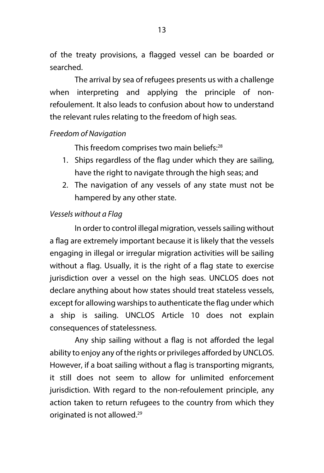of the treaty provisions, a flagged vessel can be boarded or searched.

The arrival by sea of refugees presents us with a challenge when interpreting and applying the principle of nonrefoulement. It also leads to confusion about how to understand the relevant rules relating to the freedom of high seas.

#### *Freedom of Navigation*

This freedom comprises two main beliefs:<sup>28</sup>

- 1. Ships regardless of the flag under which they are sailing, have the right to navigate through the high seas; and
- 2. The navigation of any vessels of any state must not be hampered by any other state.

#### *Vessels without a Flag*

In order to control illegal migration, vessels sailing without a flag are extremely important because it is likely that the vessels engaging in illegal or irregular migration activities will be sailing without a flag. Usually, it is the right of a flag state to exercise jurisdiction over a vessel on the high seas. UNCLOS does not declare anything about how states should treat stateless vessels, except for allowing warships to authenticate the flag under which a ship is sailing. UNCLOS Article 10 does not explain consequences of statelessness.

Any ship sailing without a flag is not afforded the legal ability to enjoy any of the rights or privileges afforded by UNCLOS. However, if a boat sailing without a flag is transporting migrants, it still does not seem to allow for unlimited enforcement jurisdiction. With regard to the non-refoulement principle, any action taken to return refugees to the country from which they originated is not allowed.<sup>29</sup>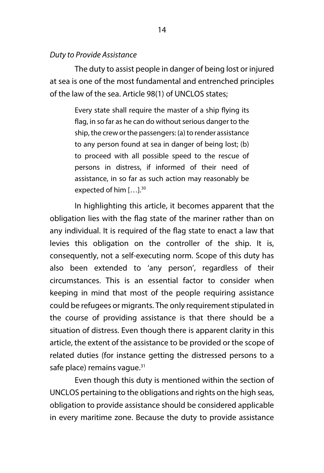#### *Duty to Provide Assistance*

The duty to assist people in danger of being lost or injured at sea is one of the most fundamental and entrenched principles of the law of the sea. Article 98(1) of UNCLOS states;

> Every state shall require the master of a ship flying its flag, in so far as he can do without serious danger to the ship, the crew or the passengers: (a) to render assistance to any person found at sea in danger of being lost; (b) to proceed with all possible speed to the rescue of persons in distress, if informed of their need of assistance, in so far as such action may reasonably be expected of him  $[...]$ <sup>30</sup>

In highlighting this article, it becomes apparent that the obligation lies with the flag state of the mariner rather than on any individual. It is required of the flag state to enact a law that levies this obligation on the controller of the ship. It is, consequently, not a self-executing norm. Scope of this duty has also been extended to 'any person', regardless of their circumstances. This is an essential factor to consider when keeping in mind that most of the people requiring assistance could be refugees or migrants. The only requirement stipulated in the course of providing assistance is that there should be a situation of distress. Even though there is apparent clarity in this article, the extent of the assistance to be provided or the scope of related duties (for instance getting the distressed persons to a safe place) remains vague.<sup>31</sup>

Even though this duty is mentioned within the section of UNCLOS pertaining to the obligations and rights on the high seas, obligation to provide assistance should be considered applicable in every maritime zone. Because the duty to provide assistance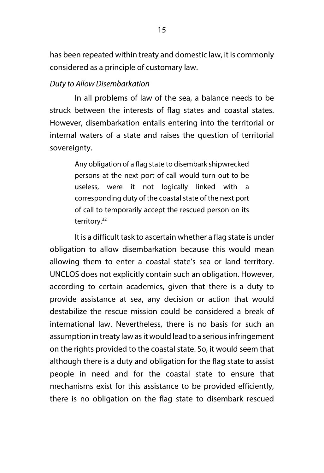has been repeated within treaty and domestic law, it is commonly considered as a principle of customary law.

#### *Duty to Allow Disembarkation*

In all problems of law of the sea, a balance needs to be struck between the interests of flag states and coastal states. However, disembarkation entails entering into the territorial or internal waters of a state and raises the question of territorial sovereignty.

> Any obligation of a flag state to disembark shipwrecked persons at the next port of call would turn out to be useless, were it not logically linked with a corresponding duty of the coastal state of the next port of call to temporarily accept the rescued person on its territory.<sup>32</sup>

It is a difficult task to ascertain whether a flag state is under obligation to allow disembarkation because this would mean allowing them to enter a coastal state's sea or land territory. UNCLOS does not explicitly contain such an obligation. However, according to certain academics, given that there is a duty to provide assistance at sea, any decision or action that would destabilize the rescue mission could be considered a break of international law. Nevertheless, there is no basis for such an assumption in treaty law as it would lead to a serious infringement on the rights provided to the coastal state. So, it would seem that although there is a duty and obligation for the flag state to assist people in need and for the coastal state to ensure that mechanisms exist for this assistance to be provided efficiently, there is no obligation on the flag state to disembark rescued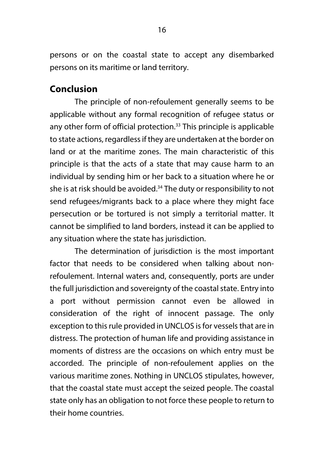persons or on the coastal state to accept any disembarked persons on its maritime or land territory.

# **Conclusion**

The principle of non-refoulement generally seems to be applicable without any formal recognition of refugee status or any other form of official protection.<sup>33</sup> This principle is applicable to state actions, regardless if they are undertaken at the border on land or at the maritime zones. The main characteristic of this principle is that the acts of a state that may cause harm to an individual by sending him or her back to a situation where he or she is at risk should be avoided.<sup>34</sup> The duty or responsibility to not send refugees/migrants back to a place where they might face persecution or be tortured is not simply a territorial matter. It cannot be simplified to land borders, instead it can be applied to any situation where the state has jurisdiction.

The determination of jurisdiction is the most important factor that needs to be considered when talking about nonrefoulement. Internal waters and, consequently, ports are under the full jurisdiction and sovereignty of the coastal state. Entry into a port without permission cannot even be allowed in consideration of the right of innocent passage. The only exception to this rule provided in UNCLOS is for vessels that are in distress. The protection of human life and providing assistance in moments of distress are the occasions on which entry must be accorded. The principle of non-refoulement applies on the various maritime zones. Nothing in UNCLOS stipulates, however, that the coastal state must accept the seized people. The coastal state only has an obligation to not force these people to return to their home countries.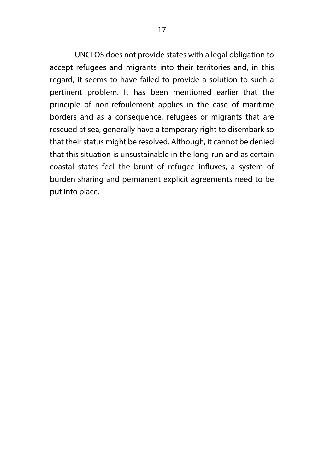UNCLOS does not provide states with a legal obligation to accept refugees and migrants into their territories and, in this regard, it seems to have failed to provide a solution to such a pertinent problem. It has been mentioned earlier that the principle of non-refoulement applies in the case of maritime borders and as a consequence, refugees or migrants that are rescued at sea, generally have a temporary right to disembark so that their status might be resolved. Although, it cannot be denied that this situation is unsustainable in the long-run and as certain coastal states feel the brunt of refugee influxes, a system of burden sharing and permanent explicit agreements need to be put into place.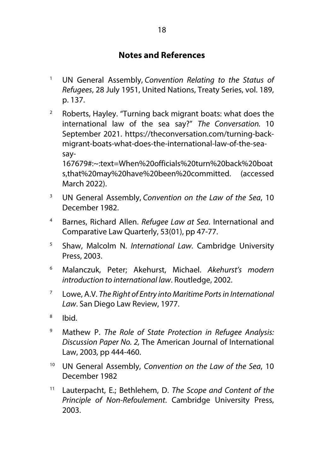## **Notes and References**

- <sup>1</sup> UN General Assembly, *Convention Relating to the Status of Refugees*, 28 July 1951, United Nations, Treaty Series, vol. 189, p. 137.
- $2^{\circ}$  Roberts, Hayley. "Turning back migrant boats: what does the international law of the sea say?" *The Conversation.* 10 September 2021. https://theconversation.com/turning-backmigrant-boats-what-does-the-international-law-of-the-seasay-

167679#:~:text=When%20officials%20turn%20back%20boat s,that%20may%20have%20been%20committed. (accessed March 2022).

- <sup>3</sup> UN General Assembly, *Convention on the Law of the Sea*, 10 December 1982.
- <sup>4</sup> Barnes, Richard Allen. *Refugee Law at Sea*. International and Comparative Law Quarterly, 53(01), pp 47-77.
- <sup>5</sup> Shaw, Malcolm N. *International Law.* Cambridge University Press, 2003.
- <sup>6</sup> Malanczuk, Peter; Akehurst, Michael. *Akehurst's modern introduction to international law*. Routledge, 2002.
- <sup>7</sup> Lowe, A.V. *The Right of Entry into Maritime Ports in International Law*. San Diego Law Review, 1977.
- <sup>8</sup> Ibid.
- <sup>9</sup> Mathew P. *The Role of State Protection in Refugee Analysis: Discussion Paper No. 2,* The American Journal of International Law, 2003*,* pp 444-460.
- <sup>10</sup> UN General Assembly, *Convention on the Law of the Sea*, 10 December 1982
- <sup>11</sup> Lauterpacht, E.; Bethlehem, D. *The Scope and Content of the Principle of Non-Refoulement*. Cambridge University Press, 2003.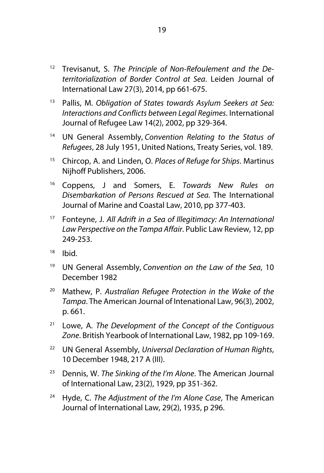- <sup>12</sup> Trevisanut, S. *The Principle of Non-Refoulement and the Deterritorialization of Border Control at Sea*. Leiden Journal of International Law 27(3), 2014, pp 661-675.
- <sup>13</sup> Pallis, M. *Obligation of States towards Asylum Seekers at Sea: Interactions and Conflicts between Legal Regimes*. International Journal of Refugee Law 14(2), 2002, pp 329-364.
- <sup>14</sup> UN General Assembly, *Convention Relating to the Status of Refugees*, 28 July 1951, United Nations, Treaty Series, vol. 189.
- <sup>15</sup> Chircop, A. and Linden, O. *Places of Refuge for Ships*. Martinus Nijhoff Publishers, 2006.
- <sup>16</sup> Coppens, J and Somers, E. *Towards New Rules on Disembarkation of Persons Rescued at Sea.* The International Journal of Marine and Coastal Law, 2010, pp 377-403.
- <sup>17</sup> Fonteyne, J. *All Adrift in a Sea of Illegitimacy: An International Law Perspective on the Tampa Affair*. Public Law Review, 12, pp 249-253.
- $18$  Ibid.
- <sup>19</sup> UN General Assembly, *Convention on the Law of the Sea*, 10 December 1982
- <sup>20</sup> Mathew, P. *Australian Refugee Protection in the Wake of the Tampa*. The American Journal of Intenational Law, 96(3), 2002, p. 661.
- <sup>21</sup> Lowe, A. *The Development of the Concept of the Contiguous Zone*. British Yearbook of International Law, 1982, pp 109-169.
- <sup>22</sup> UN General Assembly, *Universal Declaration of Human Rights*, 10 December 1948, 217 A (III).
- <sup>23</sup> Dennis, W. *The Sinking of the I'm Alone*. The American Journal of International Law, 23(2), 1929, pp 351-362.
- <sup>24</sup> Hyde, C. *The Adjustment of the I'm Alone Case*, The American Journal of International Law, 29(2), 1935, p 296.